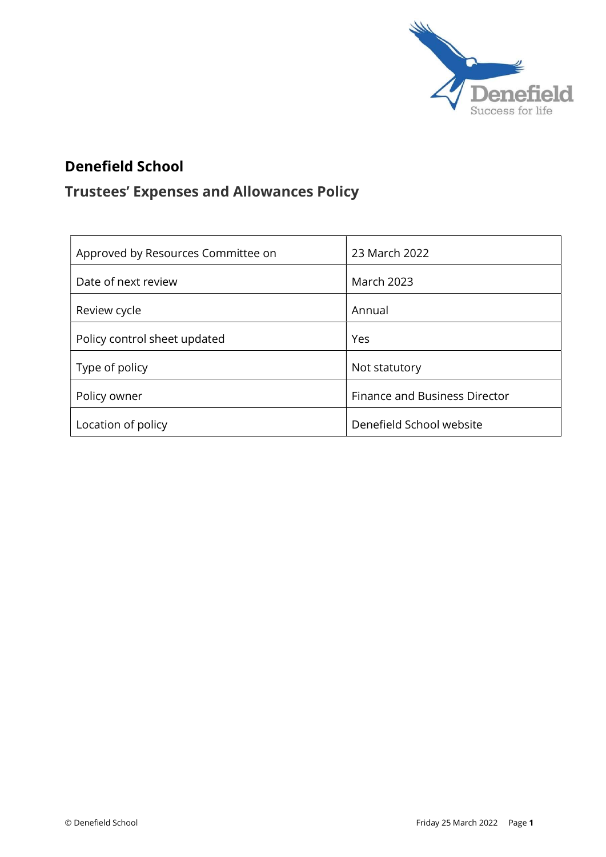

## Denefield School

# Trustees' Expenses and Allowances Policy

| Approved by Resources Committee on | 23 March 2022                        |  |
|------------------------------------|--------------------------------------|--|
| Date of next review                | <b>March 2023</b>                    |  |
| Review cycle                       | Annual                               |  |
| Policy control sheet updated       | Yes                                  |  |
| Type of policy                     | Not statutory                        |  |
| Policy owner                       | <b>Finance and Business Director</b> |  |
| Location of policy                 | Denefield School website             |  |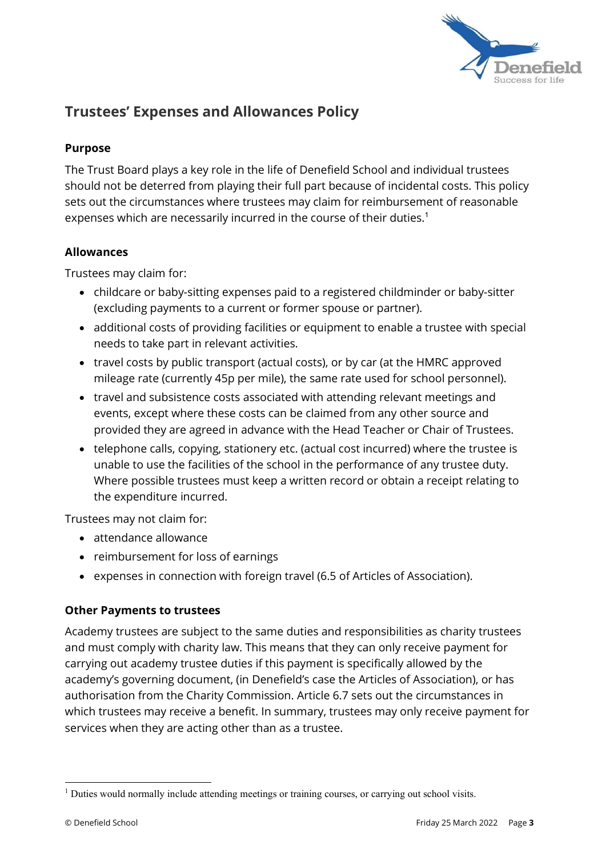

## Trustees' Expenses and Allowances Policy

#### Purpose

The Trust Board plays a key role in the life of Denefield School and individual trustees should not be deterred from playing their full part because of incidental costs. This policy sets out the circumstances where trustees may claim for reimbursement of reasonable expenses which are necessarily incurred in the course of their duties.<sup>1</sup>

#### Allowances

Trustees may claim for:

- childcare or baby-sitting expenses paid to a registered childminder or baby-sitter (excluding payments to a current or former spouse or partner).
- additional costs of providing facilities or equipment to enable a trustee with special needs to take part in relevant activities.
- travel costs by public transport (actual costs), or by car (at the HMRC approved mileage rate (currently 45p per mile), the same rate used for school personnel).
- travel and subsistence costs associated with attending relevant meetings and events, except where these costs can be claimed from any other source and provided they are agreed in advance with the Head Teacher or Chair of Trustees.
- telephone calls, copying, stationery etc. (actual cost incurred) where the trustee is unable to use the facilities of the school in the performance of any trustee duty. Where possible trustees must keep a written record or obtain a receipt relating to the expenditure incurred.

Trustees may not claim for:

- attendance allowance
- reimbursement for loss of earnings
- expenses in connection with foreign travel (6.5 of Articles of Association).

#### Other Payments to trustees

Academy trustees are subject to the same duties and responsibilities as charity trustees and must comply with charity law. This means that they can only receive payment for carrying out academy trustee duties if this payment is specifically allowed by the academy's governing document, (in Denefield's case the Articles of Association), or has authorisation from the Charity Commission. Article 6.7 sets out the circumstances in which trustees may receive a benefit. In summary, trustees may only receive payment for services when they are acting other than as a trustee.

<sup>&</sup>lt;sup>1</sup> Duties would normally include attending meetings or training courses, or carrying out school visits.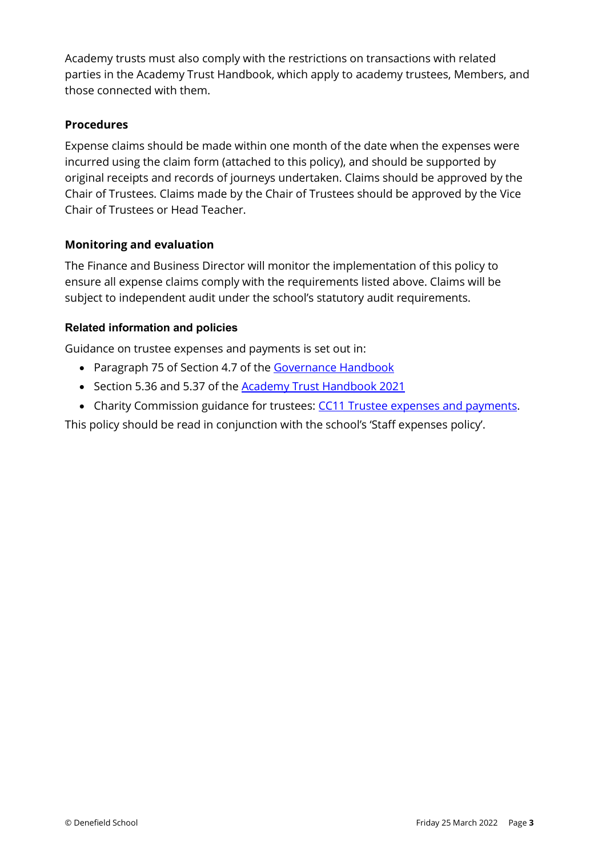Academy trusts must also comply with the restrictions on transactions with related parties in the Academy Trust Handbook, which apply to academy trustees, Members, and those connected with them.

#### Procedures

Expense claims should be made within one month of the date when the expenses were incurred using the claim form (attached to this policy), and should be supported by original receipts and records of journeys undertaken. Claims should be approved by the Chair of Trustees. Claims made by the Chair of Trustees should be approved by the Vice Chair of Trustees or Head Teacher.

#### Monitoring and evaluation

The Finance and Business Director will monitor the implementation of this policy to ensure all expense claims comply with the requirements listed above. Claims will be subject to independent audit under the school's statutory audit requirements.

#### Related information and policies

Guidance on trustee expenses and payments is set out in:

- Paragraph 75 of Section 4.7 of the Governance Handbook
- Section 5.36 and 5.37 of the **Academy Trust Handbook 2021**
- Charity Commission guidance for trustees: CC11 Trustee expenses and payments.

This policy should be read in conjunction with the school's 'Staff expenses policy'.